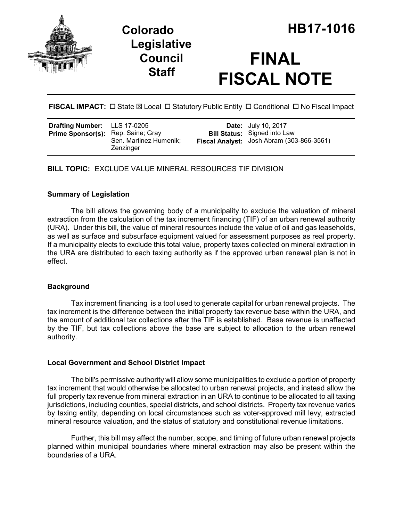



# **FINAL FISCAL NOTE**

FISCAL IMPACT:  $\Box$  State  $\boxtimes$  Local  $\Box$  Statutory Public Entity  $\Box$  Conditional  $\Box$  No Fiscal Impact

| <b>Drafting Number:</b> LLS 17-0205<br>Prime Sponsor(s): Rep. Saine; Gray | Sen. Martinez Humenik;<br>Zenzinger |  | <b>Date:</b> July 10, 2017<br><b>Bill Status:</b> Signed into Law<br>Fiscal Analyst: Josh Abram (303-866-3561) |
|---------------------------------------------------------------------------|-------------------------------------|--|----------------------------------------------------------------------------------------------------------------|
|---------------------------------------------------------------------------|-------------------------------------|--|----------------------------------------------------------------------------------------------------------------|

**BILL TOPIC:** EXCLUDE VALUE MINERAL RESOURCES TIF DIVISION

## **Summary of Legislation**

The bill allows the governing body of a municipality to exclude the valuation of mineral extraction from the calculation of the tax increment financing (TIF) of an urban renewal authority (URA). Under this bill, the value of mineral resources include the value of oil and gas leaseholds, as well as surface and subsurface equipment valued for assessment purposes as real property. If a municipality elects to exclude this total value, property taxes collected on mineral extraction in the URA are distributed to each taxing authority as if the approved urban renewal plan is not in effect.

## **Background**

Tax increment financing is a tool used to generate capital for urban renewal projects. The tax increment is the difference between the initial property tax revenue base within the URA, and the amount of additional tax collections after the TIF is established. Base revenue is unaffected by the TIF, but tax collections above the base are subject to allocation to the urban renewal authority.

## **Local Government and School District Impact**

The bill's permissive authority will allow some municipalities to exclude a portion of property tax increment that would otherwise be allocated to urban renewal projects, and instead allow the full property tax revenue from mineral extraction in an URA to continue to be allocated to all taxing jurisdictions, including counties, special districts, and school districts. Property tax revenue varies by taxing entity, depending on local circumstances such as voter-approved mill levy, extracted mineral resource valuation, and the status of statutory and constitutional revenue limitations.

Further, this bill may affect the number, scope, and timing of future urban renewal projects planned within municipal boundaries where mineral extraction may also be present within the boundaries of a URA.